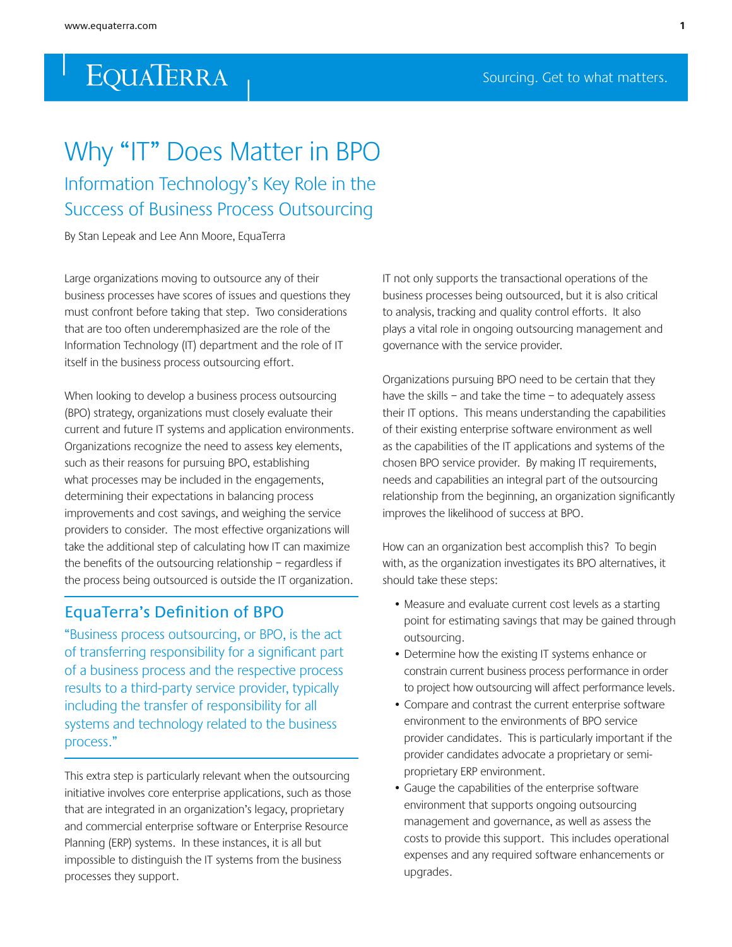# Why "IT" Does Matter in BPO

Information Technology's Key Role in the Success of Business Process Outsourcing

By Stan Lepeak and Lee Ann Moore, EquaTerra

Large organizations moving to outsource any of their business processes have scores of issues and questions they must confront before taking that step. Two considerations that are too often underemphasized are the role of the Information Technology (IT) department and the role of IT itself in the business process outsourcing effort.

When looking to develop a business process outsourcing (BPO) strategy, organizations must closely evaluate their current and future IT systems and application environments. Organizations recognize the need to assess key elements, such as their reasons for pursuing BPO, establishing what processes may be included in the engagements, determining their expectations in balancing process improvements and cost savings, and weighing the service providers to consider. The most effective organizations will take the additional step of calculating how IT can maximize the benefits of the outsourcing relationship – regardless if the process being outsourced is outside the IT organization.

### EquaTerra's Definition of BPO

"Business process outsourcing, or BPO, is the act of transferring responsibility for a significant part of a business process and the respective process results to a third-party service provider, typically including the transfer of responsibility for all systems and technology related to the business process."

This extra step is particularly relevant when the outsourcing initiative involves core enterprise applications, such as those that are integrated in an organization's legacy, proprietary and commercial enterprise software or Enterprise Resource Planning (ERP) systems. In these instances, it is all but impossible to distinguish the IT systems from the business processes they support.

IT not only supports the transactional operations of the business processes being outsourced, but it is also critical to analysis, tracking and quality control efforts. It also plays a vital role in ongoing outsourcing management and governance with the service provider.

Organizations pursuing BPO need to be certain that they have the skills – and take the time – to adequately assess their IT options. This means understanding the capabilities of their existing enterprise software environment as well as the capabilities of the IT applications and systems of the chosen BPO service provider. By making IT requirements, needs and capabilities an integral part of the outsourcing relationship from the beginning, an organization significantly improves the likelihood of success at BPO.

How can an organization best accomplish this? To begin with, as the organization investigates its BPO alternatives, it should take these steps:

- Measure and evaluate current cost levels as a starting point for estimating savings that may be gained through outsourcing.
- Determine how the existing IT systems enhance or constrain current business process performance in order to project how outsourcing will affect performance levels.
- Compare and contrast the current enterprise software environment to the environments of BPO service provider candidates. This is particularly important if the provider candidates advocate a proprietary or semiproprietary ERP environment.
- Gauge the capabilities of the enterprise software environment that supports ongoing outsourcing management and governance, as well as assess the costs to provide this support. This includes operational expenses and any required software enhancements or upgrades.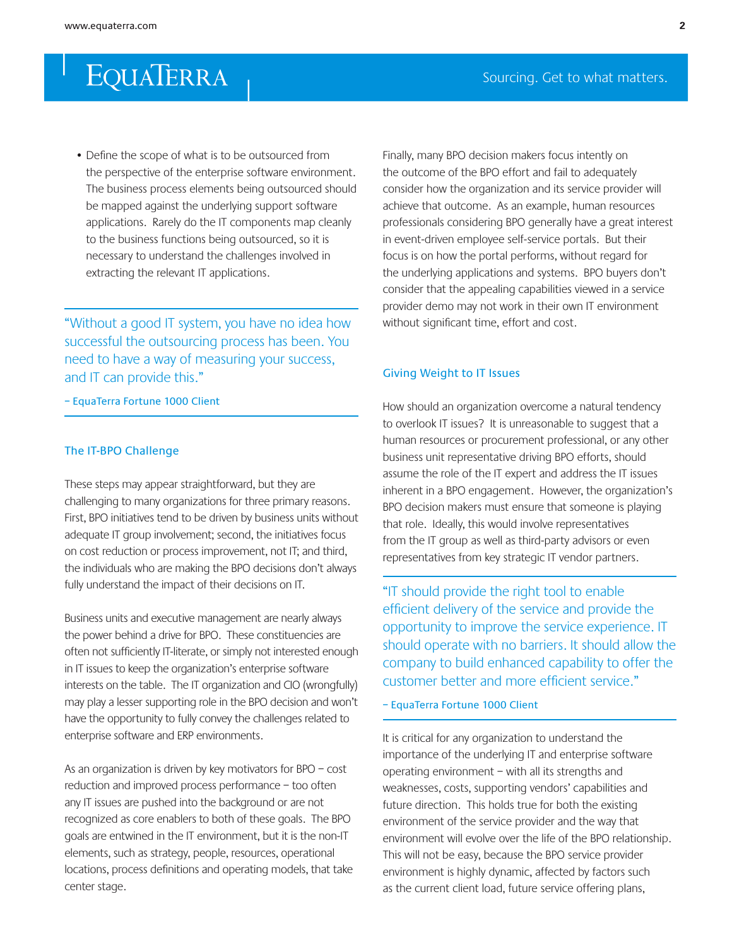• Define the scope of what is to be outsourced from the perspective of the enterprise software environment. The business process elements being outsourced should be mapped against the underlying support software applications. Rarely do the IT components map cleanly to the business functions being outsourced, so it is necessary to understand the challenges involved in extracting the relevant IT applications.

"Without a good IT system, you have no idea how successful the outsourcing process has been. You need to have a way of measuring your success, and IT can provide this."

#### – EquaTerra Fortune 1000 Client

### The IT-BPO Challenge

These steps may appear straightforward, but they are challenging to many organizations for three primary reasons. First, BPO initiatives tend to be driven by business units without adequate IT group involvement; second, the initiatives focus on cost reduction or process improvement, not IT; and third, the individuals who are making the BPO decisions don't always fully understand the impact of their decisions on IT.

Business units and executive management are nearly always the power behind a drive for BPO. These constituencies are often not sufficiently IT-literate, or simply not interested enough in IT issues to keep the organization's enterprise software interests on the table. The IT organization and CIO (wrongfully) may play a lesser supporting role in the BPO decision and won't have the opportunity to fully convey the challenges related to enterprise software and ERP environments.

As an organization is driven by key motivators for BPO – cost reduction and improved process performance – too often any IT issues are pushed into the background or are not recognized as core enablers to both of these goals. The BPO goals are entwined in the IT environment, but it is the non-IT elements, such as strategy, people, resources, operational locations, process definitions and operating models, that take center stage.

Finally, many BPO decision makers focus intently on the outcome of the BPO effort and fail to adequately consider how the organization and its service provider will achieve that outcome. As an example, human resources professionals considering BPO generally have a great interest in event-driven employee self-service portals. But their focus is on how the portal performs, without regard for the underlying applications and systems. BPO buyers don't consider that the appealing capabilities viewed in a service provider demo may not work in their own IT environment without significant time, effort and cost.

### Giving Weight to IT Issues

How should an organization overcome a natural tendency to overlook IT issues? It is unreasonable to suggest that a human resources or procurement professional, or any other business unit representative driving BPO efforts, should assume the role of the IT expert and address the IT issues inherent in a BPO engagement. However, the organization's BPO decision makers must ensure that someone is playing that role. Ideally, this would involve representatives from the IT group as well as third-party advisors or even representatives from key strategic IT vendor partners.

"IT should provide the right tool to enable efficient delivery of the service and provide the opportunity to improve the service experience. IT should operate with no barriers. It should allow the company to build enhanced capability to offer the customer better and more efficient service."

– EquaTerra Fortune 1000 Client

It is critical for any organization to understand the importance of the underlying IT and enterprise software operating environment – with all its strengths and weaknesses, costs, supporting vendors' capabilities and future direction. This holds true for both the existing environment of the service provider and the way that environment will evolve over the life of the BPO relationship. This will not be easy, because the BPO service provider environment is highly dynamic, affected by factors such as the current client load, future service offering plans,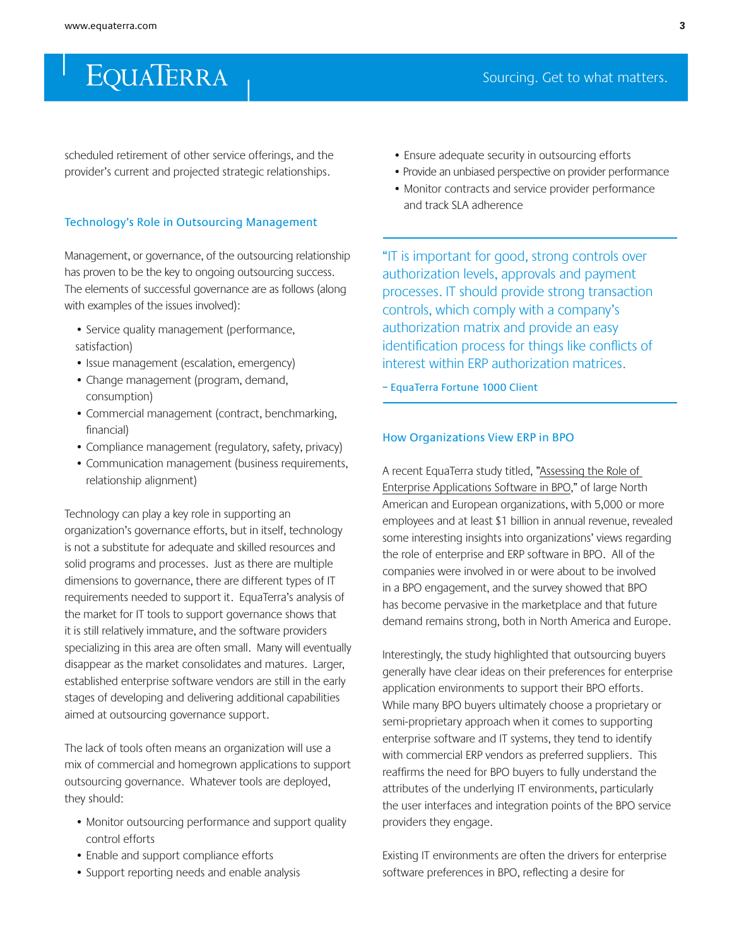scheduled retirement of other service offerings, and the provider's current and projected strategic relationships.

#### Technology's Role in Outsourcing Management

Management, or governance, of the outsourcing relationship has proven to be the key to ongoing outsourcing success. The elements of successful governance are as follows (along with examples of the issues involved):

- Service quality management (performance, satisfaction)
- Issue management (escalation, emergency)
- Change management (program, demand, consumption)
- Commercial management (contract, benchmarking, financial)
- Compliance management (regulatory, safety, privacy)
- Communication management (business requirements, relationship alignment)

Technology can play a key role in supporting an organization's governance efforts, but in itself, technology is not a substitute for adequate and skilled resources and solid programs and processes. Just as there are multiple dimensions to governance, there are different types of IT requirements needed to support it. EquaTerra's analysis of the market for IT tools to support governance shows that it is still relatively immature, and the software providers specializing in this area are often small. Many will eventually disappear as the market consolidates and matures. Larger, established enterprise software vendors are still in the early stages of developing and delivering additional capabilities aimed at outsourcing governance support.

The lack of tools often means an organization will use a mix of commercial and homegrown applications to support outsourcing governance. Whatever tools are deployed, they should:

- Monitor outsourcing performance and support quality control efforts
- Enable and support compliance efforts
- Support reporting needs and enable analysis
- Ensure adequate security in outsourcing efforts
- Provide an unbiased perspective on provider performance
- Monitor contracts and service provider performance and track SLA adherence

"IT is important for good, strong controls over authorization levels, approvals and payment processes. IT should provide strong transaction controls, which comply with a company's authorization matrix and provide an easy identification process for things like conflicts of interest within ERP authorization matrices.

– EquaTerra Fortune 1000 Client

#### How Organizations View ERP in BPO

A recent EquaTerra study titled, ["Assessing the Role of](http://www.equaterra.com/store/detail.aspx?pid=16)  [Enterprise Applications Software in BPO,](http://www.equaterra.com/store/detail.aspx?pid=16)" of large North American and European organizations, with 5,000 or more employees and at least \$1 billion in annual revenue, revealed some interesting insights into organizations' views regarding the role of enterprise and ERP software in BPO. All of the companies were involved in or were about to be involved in a BPO engagement, and the survey showed that BPO has become pervasive in the marketplace and that future demand remains strong, both in North America and Europe.

Interestingly, the study highlighted that outsourcing buyers generally have clear ideas on their preferences for enterprise application environments to support their BPO efforts. While many BPO buyers ultimately choose a proprietary or semi-proprietary approach when it comes to supporting enterprise software and IT systems, they tend to identify with commercial ERP vendors as preferred suppliers. This reaffirms the need for BPO buyers to fully understand the attributes of the underlying IT environments, particularly the user interfaces and integration points of the BPO service providers they engage.

Existing IT environments are often the drivers for enterprise software preferences in BPO, reflecting a desire for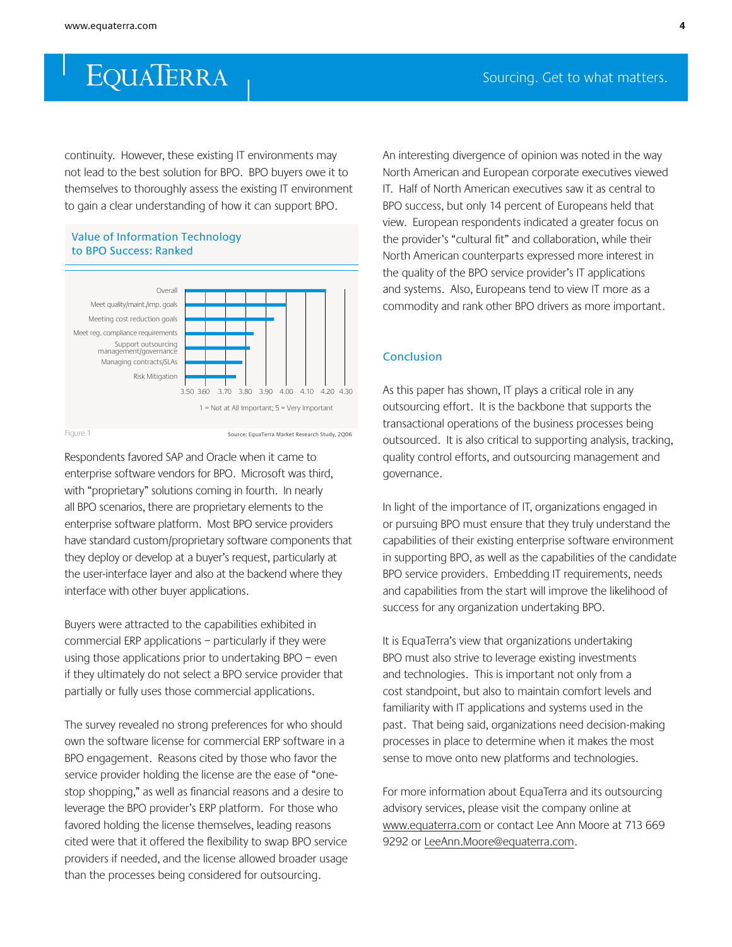continuity. However, these existing IT environments may not lead to the best solution for BPO. BPO buyers owe it to themselves to thoroughly assess the existing IT environment to gain a clear understanding of how it can support BPO.





Figure 1

Respondents favored SAP and Oracle when it came to enterprise software vendors for BPO. Microsoft was third, with "proprietary" solutions coming in fourth. In nearly all BPO scenarios, there are proprietary elements to the enterprise software platform. Most BPO service providers have standard custom/proprietary software components that they deploy or develop at a buyer's request, particularly at the user-interface layer and also at the backend where they interface with other buyer applications.

Buyers were attracted to the capabilities exhibited in commercial ERP applications - particularly if they were using those applications prior to undertaking BPO - even if they ultimately do not select a BPO service provider that partially or fully uses those commercial applications.

The survey revealed no strong preferences for who should own the software license for commercial ERP software in a BPO engagement. Reasons cited by those who favor the service provider holding the license are the ease of "onestop shopping," as well as financial reasons and a desire to leverage the BPO provider's ERP platform. For those who favored holding the license themselves, leading reasons cited were that it offered the flexibility to swap BPO service providers if needed, and the license allowed broader usage than the processes being considered for outsourcing.

An interesting divergence of opinion was noted in the way North American and European corporate executives viewed IT. Half of North American executives saw it as central to BPO success, but only 14 percent of Europeans held that view. European respondents indicated a greater focus on the provider's "cultural fit" and collaboration, while their North American counterparts expressed more interest in the quality of the BPO service provider's IT applications and systems. Also, Europeans tend to view IT more as a commodity and rank other BPO drivers as more important.

#### **Conclusion**

As this paper has shown, IT plays a critical role in any outsourcing effort. It is the backbone that supports the transactional operations of the business processes being outsourced. It is also critical to supporting analysis, tracking, quality control efforts, and outsourcing management and governance.

In light of the importance of IT, organizations engaged in or pursuing BPO must ensure that they truly understand the capabilities of their existing enterprise software environment in supporting BPO, as well as the capabilities of the candidate BPO service providers. Embedding IT requirements, needs and capabilities from the start will improve the likelihood of success for any organization undertaking BPO.

It is EquaTerra's view that organizations undertaking BPO must also strive to leverage existing investments and technologies. This is important not only from a cost standpoint, but also to maintain comfort levels and familiarity with IT applications and systems used in the past. That being said, organizations need decision-making processes in place to determine when it makes the most sense to move onto new platforms and technologies.

For more information about EquaTerra and its outsourcing advisory services, please visit the company online at www.equaterra.com or contact Lee Ann Moore at 713 669 9292 or LeeAnn.Moore@equaterra.com.

Source: EquaTerra Market Research Study, 2Q06